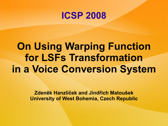### **ICSP 2008**

## **On Using Warping Function for LSFs Transformation in a Voice Conversion System**

**Zdeněk Hanzlíček and Jindřich Matoušek University of West Bohemia, Czech Republic**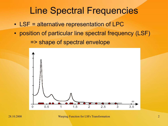### Line Spectral Frequencies

- LSF = alternative representation of LPC
- position of particular line spectral frequency (LSF) => shape of spectral envelope



28.10.2008 Warping Function for LSFs Transformation 2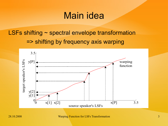### Main idea

### LSFs shifting ~ spectral envelope transformation => shifting by frequency axis warping



28.10.2008 Warping Function for LSFs Transformation 3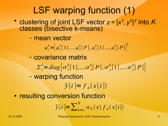### LSF warping function (1)

• clustering of joint LSF vector  $z = [x^T, y^T]^T$  into K classes (bisective k-means)

– mean vector

 $\mu_z^k = \left[ \mu_x^k[1], \ldots \mu_x^k[P], \mu_y^k[1], \ldots \mu_y^k[P] \right]^k$ *T*

- covariance matrix
	- $\sum_{z}^{k} = diag \left[ \sigma_{x}^{k} [1], \ldots \sigma_{x}^{k} [P], \sigma_{y}^{k} [1], \ldots \sigma_{y}^{k} [P] \right]$
- warping function

 $\tilde{y}[i] = f_k(x[i])$ 

• resulting conversion function

$$
\tilde{\mathbf{y}}[i] = \sum_{k=1}^{K} w_k(x) f_k(x[i])
$$

28.10.2008 Warping Function for LSFs Transformation 4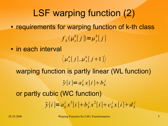- LSF warping function (2) • requirements for warping function of k-th class  $f_k(\mu_x^k[j]) = \mu_y^k[j]$
- in each interval

 $\langle \mu_x^k[j], \mu_x^k[j+1] \rangle$ 

warping function is partly linear (WL function) or partly cubic (WC function)  $\tilde{y}[i] = a_k^j x[i] + b_k^j$  $\tilde{y}[i] = a_k^j x^3[i] + b_k^j x^2[i] + c_k^j x[i] + d_k^j$ 

28.10.2008 Warping Function for LSFs Transformation 5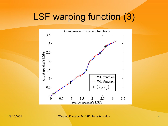### LSF warping function (3)



#### 28.10.2008 Warping Function for LSFs Transformation 6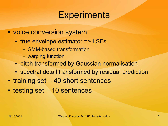### **Experiments**

- voice conversion system
	- true envelope estimator => LSFs
		- GMM-based transformation
		- warping function
	- pitch transformed by Gaussian normalisation
	- spectral detail transformed by residual prediction
- training set 40 short sentences
- testing set 10 sentences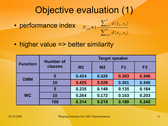### Objective evaluation (1)

• performance index

$$
P_{LSF} = 1 - \frac{\sum_{n=1}^{N} d(\tilde{y}_n, y_n)}{\sum_{n=1}^{N} d(x_n, y_n)}
$$

• higher value => better similarity

| <b>Function</b> | <b>Number of</b><br>classes | <b>Target speaker</b> |                |                |                |
|-----------------|-----------------------------|-----------------------|----------------|----------------|----------------|
|                 |                             | M <sub>1</sub>        | M <sub>2</sub> | F <sub>1</sub> | F <sub>2</sub> |
| <b>GMM</b>      | 5                           | 0.424                 | 0.326          | 0.303          | 0.346          |
|                 | 10                          | 0.425                 | 0.328          | 0.301          | 0.345          |
| <b>WC</b>       | 5                           | 0.235                 | 0.149          | 0.135          | 0.184          |
|                 | <b>10</b>                   | 0.264                 | 0.172          | 0.153          | 0.203          |
|                 | 150                         | 0.314                 | 0.219          | 0.189          | 0.240          |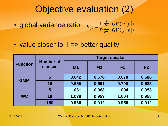### Objective evaluation (2)

- global variance ratio  $R$ <sub>*GV*</sub> =  $\frac{1}{p} \sum_{p=1}^{p}$  $\sum_{i=1}^{p}$  *GV*  $(\tilde{y}[p])$  $GV(y[p])$
- $\bullet$  value closer to 1 => better quality

| <b>Function</b> | <b>Number of</b><br>classes | <b>Target speaker</b> |                |                |                |
|-----------------|-----------------------------|-----------------------|----------------|----------------|----------------|
|                 |                             | <b>M1</b>             | M <sub>2</sub> | F <sub>1</sub> | F <sub>2</sub> |
| <b>GMM</b>      | 5                           | 0.642                 | 0.676          | 0.670          | 0.686          |
|                 | 10                          | 0.655                 | 0.691          | 0.700          | 0.683          |
| <b>WC</b>       | 5                           | 1.081                 | 0.968          | 1.004          | 0.958          |
|                 | 10                          | 1.038                 | 0.953          | 1.004          | 0.958          |
|                 | 150                         | 0.935                 | 0.912          | 0.955          | 0.912          |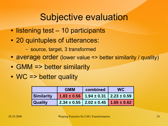### Subjective evaluation

- listening test 10 participants
- 20 quintuples of utterances:
	- source, target, 3 transformed
- average order (lower value => better similarity / quality)
- $\bullet$  GMM => better similarity
- WC => better quality

|                | <b>GMM</b> | combined                                            | <b>WC</b> |
|----------------|------------|-----------------------------------------------------|-----------|
| Similarity     |            | $1.83 \pm 0.56$   1.94 $\pm$ 0.31   2.23 $\pm$ 0.59 |           |
| <b>Quality</b> |            | $2.34 \pm 0.55$   $2.02 \pm 0.45$   $1.65 \pm 0.62$ |           |